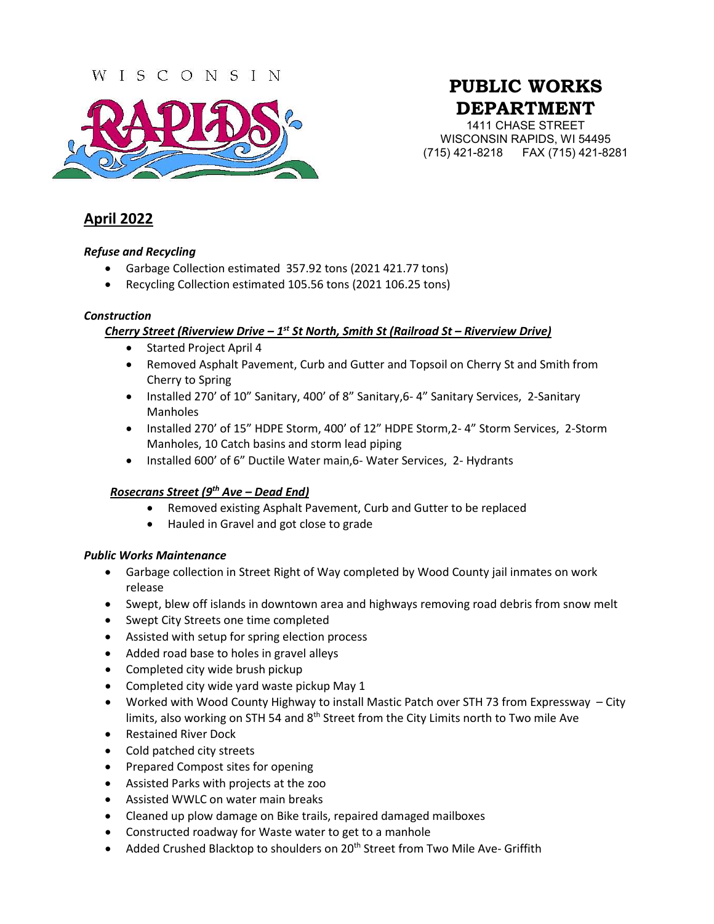### WISCONSIN



# **PUBLIC WORKS DEPARTMENT**

1411 CHASE STREET WISCONSIN RAPIDS, WI 54495 (715) 421-8218 FAX (715) 421-8281

## **April 2022**

#### *Refuse and Recycling*

- Garbage Collection estimated 357.92 tons (2021 421.77 tons)
- Recycling Collection estimated 105.56 tons (2021 106.25 tons)

#### *Construction*

#### *Cherry Street (Riverview Drive – 1st St North, Smith St (Railroad St – Riverview Drive)*

- Started Project April 4
- Removed Asphalt Pavement, Curb and Gutter and Topsoil on Cherry St and Smith from Cherry to Spring
- Installed 270' of 10" Sanitary, 400' of 8" Sanitary, 6-4" Sanitary Services, 2-Sanitary Manholes
- Installed 270' of 15" HDPE Storm, 400' of 12" HDPE Storm,2- 4" Storm Services, 2-Storm Manholes, 10 Catch basins and storm lead piping
- Installed 600' of 6" Ductile Water main,6- Water Services, 2- Hydrants

#### *Rosecrans Street (9th Ave – Dead End)*

- Removed existing Asphalt Pavement, Curb and Gutter to be replaced
- Hauled in Gravel and got close to grade

#### *Public Works Maintenance*

- Garbage collection in Street Right of Way completed by Wood County jail inmates on work release
- Swept, blew off islands in downtown area and highways removing road debris from snow melt
- Swept City Streets one time completed
- Assisted with setup for spring election process
- Added road base to holes in gravel alleys
- Completed city wide brush pickup
- Completed city wide yard waste pickup May 1
- Worked with Wood County Highway to install Mastic Patch over STH 73 from Expressway City limits, also working on STH 54 and  $8<sup>th</sup>$  Street from the City Limits north to Two mile Ave
- Restained River Dock
- Cold patched city streets
- Prepared Compost sites for opening
- Assisted Parks with projects at the zoo
- Assisted WWLC on water main breaks
- Cleaned up plow damage on Bike trails, repaired damaged mailboxes
- Constructed roadway for Waste water to get to a manhole
- Added Crushed Blacktop to shoulders on 20<sup>th</sup> Street from Two Mile Ave- Griffith